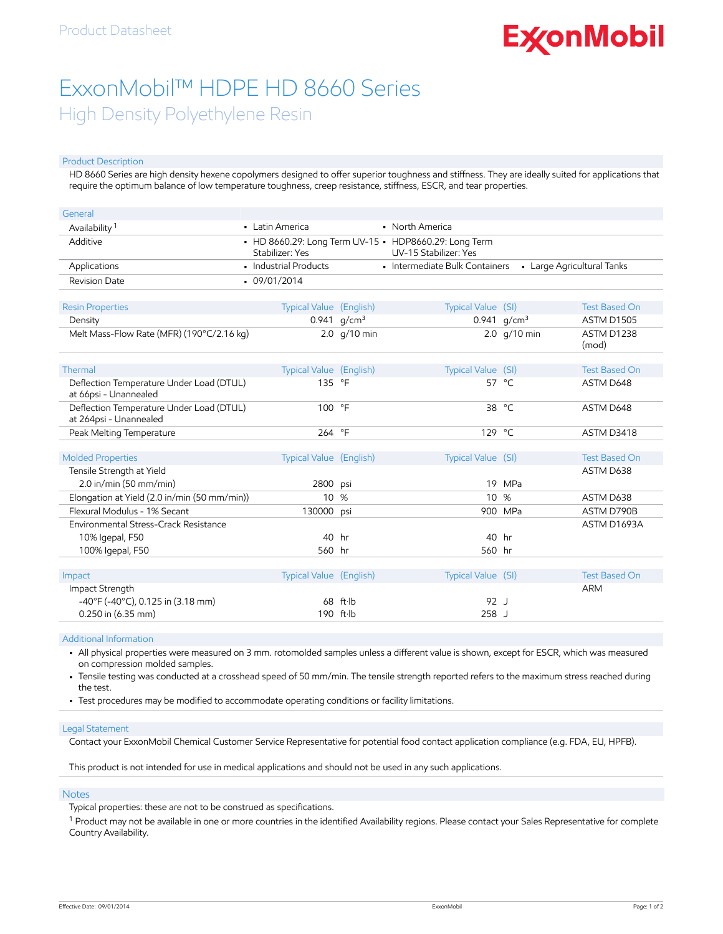# **ExconMobil**

## ExxonMobil™ HDPE HD 8660 Series High Density Polyethylene Resin

#### Product Description

HD 8660 Series are high density hexene copolymers designed to offer superior toughness and stiffness. They are ideally suited for applications that require the optimum balance of low temperature toughness, creep resistance, stiffness, ESCR, and tear properties.

| General                                                            |                                                                                                   |                |                                |                |                            |
|--------------------------------------------------------------------|---------------------------------------------------------------------------------------------------|----------------|--------------------------------|----------------|----------------------------|
| Availability <sup>1</sup>                                          | • Latin America                                                                                   |                | • North America                |                |                            |
| Additive                                                           | • HD 8660.29: Long Term UV-15 • HDP8660.29: Long Term<br>UV-15 Stabilizer: Yes<br>Stabilizer: Yes |                |                                |                |                            |
| Applications                                                       | • Industrial Products                                                                             |                | · Intermediate Bulk Containers |                | • Large Agricultural Tanks |
| <b>Revision Date</b>                                               | $-09/01/2014$                                                                                     |                |                                |                |                            |
| <b>Resin Properties</b>                                            | Typical Value (English)                                                                           |                | Typical Value (SI)             |                | <b>Test Based On</b>       |
| Density                                                            |                                                                                                   | 0.941 $q/cm^3$ |                                | 0.941 $g/cm^3$ | ASTM D1505                 |
| Melt Mass-Flow Rate (MFR) (190°C/2.16 kg)                          |                                                                                                   | 2.0 $q/10$ min |                                | 2.0 $q/10$ min | ASTM D1238<br>(mod)        |
| Thermal                                                            | <b>Typical Value (English)</b>                                                                    |                | Typical Value (SI)             |                | <b>Test Based On</b>       |
| Deflection Temperature Under Load (DTUL)<br>at 66psi - Unannealed  | 135 °F                                                                                            |                |                                | 57 °C          | ASTM D648                  |
| Deflection Temperature Under Load (DTUL)<br>at 264psi - Unannealed | 100 °F                                                                                            |                |                                | 38 °C          | ASTM D648                  |
| Peak Melting Temperature                                           | 264 °F                                                                                            |                | 129 $^{\circ}$ C               |                | ASTM D3418                 |
| <b>Molded Properties</b>                                           | <b>Typical Value</b> (English)                                                                    |                | Typical Value (SI)             |                | <b>Test Based On</b>       |
| Tensile Strength at Yield                                          |                                                                                                   |                |                                |                | ASTM D638                  |
| $2.0$ in/min (50 mm/min)                                           | 2800 psi                                                                                          |                |                                | 19 MPa         |                            |
| Elongation at Yield (2.0 in/min (50 mm/min))                       | 10 %                                                                                              |                | 10 <sup>°</sup>                | %              | ASTM D638                  |
| Flexural Modulus - 1% Secant                                       | 130000 psi                                                                                        |                |                                | 900 MPa        | ASTM D790B                 |
| Environmental Stress-Crack Resistance                              |                                                                                                   |                |                                |                | ASTM D1693A                |
| 10% Igepal, F50                                                    | 40 hr                                                                                             |                | 40 hr                          |                |                            |
| 100% Igepal, F50                                                   | 560 hr                                                                                            |                | 560 hr                         |                |                            |
| Impact                                                             | Typical Value (English)                                                                           |                | Typical Value (SI)             |                | <b>Test Based On</b>       |
| Impact Strength                                                    |                                                                                                   |                |                                |                | <b>ARM</b>                 |
| $-40^{\circ}$ F (-40 $^{\circ}$ C), 0.125 in (3.18 mm)             |                                                                                                   | 68 ft·lb       | 92 J                           |                |                            |
| 0.250 in (6.35 mm)                                                 |                                                                                                   | 190 ft·lb      | $258$ J                        |                |                            |
|                                                                    |                                                                                                   |                |                                |                |                            |

Additional Information

• All physical properties were measured on 3 mm. rotomolded samples unless a different value is shown, except for ESCR, which was measured on compression molded samples.

• Tensile testing was conducted at a crosshead speed of 50 mm/min. The tensile strength reported refers to the maximum stress reached during the test.

• Test procedures may be modified to accommodate operating conditions or facility limitations.

#### Legal Statement

Contact your ExxonMobil Chemical Customer Service Representative for potential food contact application compliance (e.g. FDA, EU, HPFB).

This product is not intended for use in medical applications and should not be used in any such applications.

#### **Notes**

Typical properties: these are not to be construed as specifications.

 $^{\rm 1}$  Product may not be available in one or more countries in the identified Availability regions. Please contact your Sales Representative for complete Country Availability.